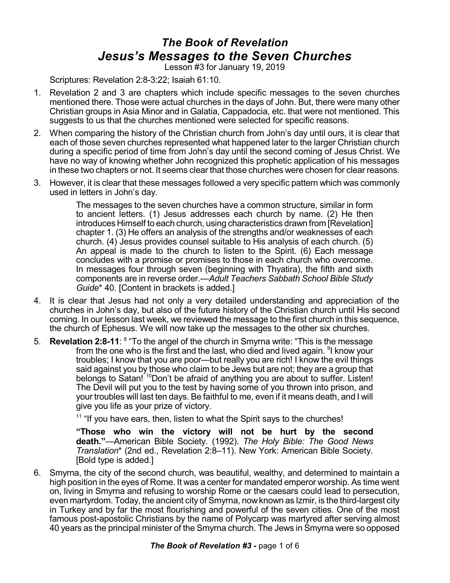## *The Book of Revelation Jesus's Messages to the Seven Churches*

Lesson #3 for January 19, 2019

Scriptures: Revelation 2:8-3:22; Isaiah 61:10.

- 1. Revelation 2 and 3 are chapters which include specific messages to the seven churches mentioned there. Those were actual churches in the days of John. But, there were many other Christian groups in Asia Minor and in Galatia, Cappadocia, etc. that were not mentioned. This suggests to us that the churches mentioned were selected for specific reasons.
- 2. When comparing the history of the Christian church from John's day until ours, it is clear that each of those seven churches represented what happened later to the larger Christian church during a specific period of time from John's day until the second coming of Jesus Christ. We have no way of knowing whether John recognized this prophetic application of his messages in these two chapters or not. It seems clear that those churches were chosen for clear reasons.
- 3. However, it is clear that these messages followed a very specific pattern which was commonly used in letters in John's day.

The messages to the seven churches have a common structure, similar in form to ancient letters. (1) Jesus addresses each church by name. (2) He then introduces Himself to each church, using characteristics drawn from [Revelation] chapter 1. (3) He offers an analysis of the strengths and/or weaknesses of each church. (4) Jesus provides counsel suitable to His analysis of each church. (5) An appeal is made to the church to listen to the Spirit. (6) Each message concludes with a promise or promises to those in each church who overcome. In messages four through seven (beginning with Thyatira), the fifth and sixth components are in reverse order.—*Adult Teachers Sabbath School Bible Study Guide*\* 40. [Content in brackets is added.]

- 4. It is clear that Jesus had not only a very detailed understanding and appreciation of the churches in John's day, but also of the future history of the Christian church until His second coming. In our lesson last week, we reviewed the message to the first church in this sequence, the church of Ephesus. We will now take up the messages to the other six churches.
- 5. **Revelation 2:8-11**: <sup>8</sup> "To the angel of the church in Smyrna write: "This is the message from the one who is the first and the last, who died and lived again. <sup>9</sup>I know your troubles; I know that you are poor—but really you are rich! I know the evil things said against you by those who claim to be Jews but are not; they are a group that belongs to Satan!<sup>10</sup>Don't be afraid of anything you are about to suffer. Listen! The Devil will put you to the test by having some of you thrown into prison, and your troubles will last ten days. Be faithful to me, even if it means death, and I will give you life as your prize of victory.

<sup>11</sup> "If you have ears, then, listen to what the Spirit says to the churches!

**"Those who win the victory will not be hurt by the second death."**—American Bible Society. (1992). *The Holy Bible: The Good News Translation*\* (2nd ed., Revelation 2:8–11). New York: American Bible Society. [Bold type is added.]

6. Smyrna, the city of the second church, was beautiful, wealthy, and determined to maintain a high position in the eyes of Rome. It was a center for mandated emperor worship. As time went on, living in Smyrna and refusing to worship Rome or the caesars could lead to persecution, even martyrdom. Today, the ancient city of Smyrna, nowknown as Izmir, is the third-largest city in Turkey and by far the most flourishing and powerful of the seven cities. One of the most famous post-apostolic Christians by the name of Polycarp was martyred after serving almost 40 years as the principal minister of the Smyrna church. The Jews in Smyrna were so opposed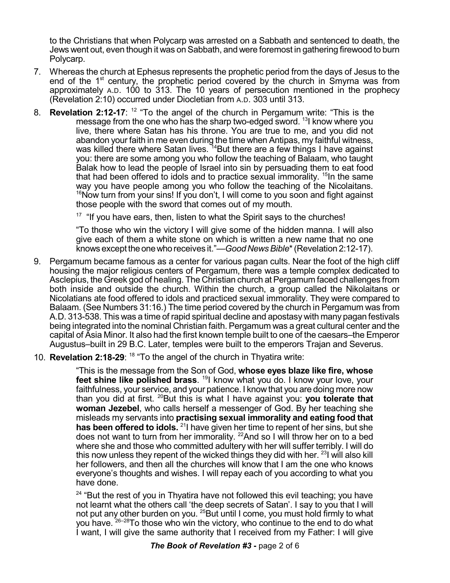to the Christians that when Polycarp was arrested on a Sabbath and sentenced to death, the Jews went out, even though it was on Sabbath, and were foremost in gathering firewood to burn Polycarp.

- 7. Whereas the church at Ephesus represents the prophetic period from the days of Jesus to the end of the 1<sup>st</sup> century, the prophetic period covered by the church in Smyrna was from approximately A.D. 100 to 313. The 10 years of persecution mentioned in the prophecy (Revelation 2:10) occurred under Diocletian from A.D. 303 until 313.
- 8. **Revelation 2:12-17**: <sup>12</sup> "To the angel of the church in Pergamum write: "This is the message from the one who has the sharp two-edged sword. <sup>13</sup>I know where you live, there where Satan has his throne. You are true to me, and you did not abandon your faith in me even during the time when Antipas, my faithful witness, was killed there where Satan lives. <sup>14</sup>But there are a few things I have against you: there are some among you who follow the teaching of Balaam, who taught Balak how to lead the people of Israel into sin by persuading them to eat food that had been offered to idols and to practice sexual immorality. <sup>15</sup>In the same way you have people among you who follow the teaching of the Nicolaitans.  $16$ Now turn from your sins! If you don't, I will come to you soon and fight against those people with the sword that comes out of my mouth.

 $17$  "If you have ears, then, listen to what the Spirit says to the churches!

"To those who win the victory I will give some of the hidden manna. I will also give each of them a white stone on which is written a new name that no one knows except theonewho receives it."—*GoodNewsBible*\*(Revelation 2:12-17).

- 9. Pergamum became famous as a center for various pagan cults. Near the foot of the high cliff housing the major religious centers of Pergamum, there was a temple complex dedicated to Asclepius, the Greek god of healing. The Christian church at Pergamum faced challenges from both inside and outside the church. Within the church, a group called the Nikolaitans or Nicolatians ate food offered to idols and practiced sexual immorality. They were compared to Balaam. (See Numbers 31:16.) The time period covered by the church in Pergamum was from A.D. 313-538. This was a time of rapid spiritual decline and apostasy with many pagan festivals being integrated into the nominal Christian faith. Pergamum was a great cultural center and the capital of Asia Minor. It also had the first known temple built to one of the caesars–the Emperor Augustus–built in 29 B.C. Later, temples were built to the emperors Trajan and Severus.
- 10. **Revelation 2:18-29**: 18 "To the angel of the church in Thyatira write:

"This is the message from the Son of God, **whose eyes blaze like fire, whose feet shine like polished brass**. <sup>19</sup>I know what you do. I know your love, your faithfulness, your service, and your patience. I know that you are doing more now than you did at first. <sup>20</sup>But this is what I have against you: **you tolerate that woman Jezebel**, who calls herself a messenger of God. By her teaching she misleads my servants into **practising sexual immorality and eating food that has been offered to idols.** <sup>21</sup>I have given her time to repent of her sins, but she does not want to turn from her immorality. <sup>22</sup>And so I will throw her on to a bed where she and those who committed adultery with her will suffer terribly. I will do this now unless they repent of the wicked things they did with her. <sup>23</sup>I will also kill her followers, and then all the churches will know that I am the one who knows everyone's thoughts and wishes. I will repay each of you according to what you have done.

<sup>24</sup> "But the rest of you in Thyatira have not followed this evil teaching; you have not learnt what the others call 'the deep secrets of Satan'. I say to you that I will not put any other burden on you. <sup>25</sup>But until I come, you must hold firmly to what you have. 26–28To those who win the victory, who continue to the end to do what I want, I will give the same authority that I received from my Father: I will give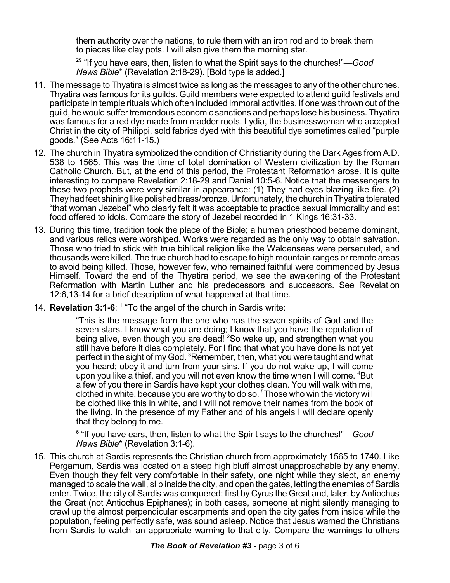them authority over the nations, to rule them with an iron rod and to break them to pieces like clay pots. I will also give them the morning star.

29 "If you have ears, then, listen to what the Spirit says to the churches!"—*Good News Bible*\* (Revelation 2:18-29). [Bold type is added.]

- 11. The message to Thyatira is almost twice as long as the messages to any of the other churches. Thyatira was famous for its guilds. Guild members were expected to attend guild festivals and participate in temple rituals which often included immoral activities. If one was thrown out of the guild, he would suffer tremendous economic sanctions and perhaps lose his business. Thyatira was famous for a red dye made from madder roots. Lydia, the businesswoman who accepted Christ in the city of Philippi, sold fabrics dyed with this beautiful dye sometimes called "purple goods." (See Acts 16:11-15.)
- 12. The church in Thyatira symbolized the condition of Christianity during the Dark Ages from A.D. 538 to 1565. This was the time of total domination of Western civilization by the Roman Catholic Church. But, at the end of this period, the Protestant Reformation arose. It is quite interesting to compare Revelation 2:18-29 and Daniel 10:5-6. Notice that the messengers to these two prophets were very similar in appearance: (1) They had eyes blazing like fire. (2) They had feet shining like polished brass/bronze. Unfortunately, the church in Thyatira tolerated "that woman Jezebel" who clearly felt it was acceptable to practice sexual immorality and eat food offered to idols. Compare the story of Jezebel recorded in 1 Kings 16:31-33.
- 13. During this time, tradition took the place of the Bible; a human priesthood became dominant, and various relics were worshiped. Works were regarded as the only way to obtain salvation. Those who tried to stick with true biblical religion like the Waldensees were persecuted, and thousands were killed. The true church had to escape to high mountain ranges or remote areas to avoid being killed. Those, however few, who remained faithful were commended by Jesus Himself. Toward the end of the Thyatira period, we see the awakening of the Protestant Reformation with Martin Luther and his predecessors and successors. See Revelation 12:6,13-14 for a brief description of what happened at that time.
- 14. **Revelation 3:1-6**: 1 "To the angel of the church in Sardis write:

"This is the message from the one who has the seven spirits of God and the seven stars. I know what you are doing; I know that you have the reputation of being alive, even though you are dead! <sup>2</sup>So wake up, and strengthen what you still have before it dies completely. For I find that what you have done is not yet perfect in the sight of my God. <sup>3</sup>Remember, then, what you were taught and what you heard; obey it and turn from your sins. If you do not wake up, I will come upon you like a thief, and you will not even know the time when I will come. <sup>4</sup>But a few of you there in Sardis have kept your clothes clean. You will walk with me, clothed in white, because you are worthy to do so. <sup>5</sup>Those who win the victory will be clothed like this in white, and I will not remove their names from the book of the living. In the presence of my Father and of his angels I will declare openly that they belong to me.

6 "If you have ears, then, listen to what the Spirit says to the churches!"—*Good News Bible*\* (Revelation 3:1-6).

15. This church at Sardis represents the Christian church from approximately 1565 to 1740. Like Pergamum, Sardis was located on a steep high bluff almost unapproachable by any enemy. Even though they felt very comfortable in their safety, one night while they slept, an enemy managed to scale the wall, slip inside the city, and open the gates, letting the enemies of Sardis enter. Twice, the city of Sardis was conquered; first by Cyrus the Great and, later, by Antiochus the Great (not Antiochus Epiphanes); in both cases, someone at night silently managing to crawl up the almost perpendicular escarpments and open the city gates from inside while the population, feeling perfectly safe, was sound asleep. Notice that Jesus warned the Christians from Sardis to watch–an appropriate warning to that city. Compare the warnings to others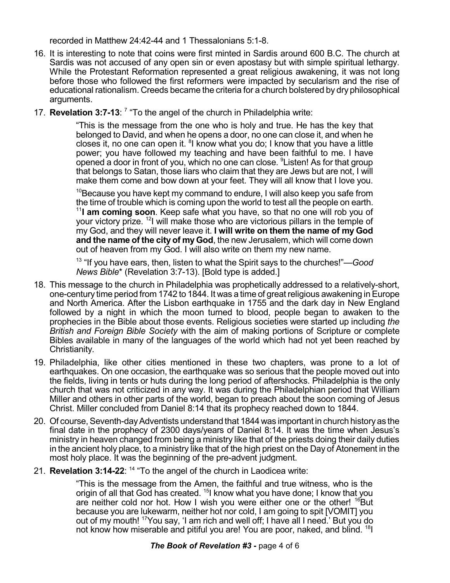recorded in Matthew 24:42-44 and 1 Thessalonians 5:1-8.

- 16. It is interesting to note that coins were first minted in Sardis around 600 B.C. The church at Sardis was not accused of any open sin or even apostasy but with simple spiritual lethargy. While the Protestant Reformation represented a great religious awakening, it was not long before those who followed the first reformers were impacted by secularism and the rise of educational rationalism. Creeds became the criteria for a church bolstered by dry philosophical arguments.
- 17. **Revelation 3:7-13**: 7 "To the angel of the church in Philadelphia write:

"This is the message from the one who is holy and true. He has the key that belonged to David, and when he opens a door, no one can close it, and when he closes it, no one can open it. <sup>8</sup>I know what you do; I know that you have a little power; you have followed my teaching and have been faithful to me. I have opened a door in front of you, which no one can close. <sup>9</sup>Listen! As for that group that belongs to Satan, those liars who claim that they are Jews but are not, I will make them come and bow down at your feet. They will all know that I love you.

 $10B$ ecause you have kept my command to endure, I will also keep you safe from the time of trouble which is coming upon the world to test all the people on earth. <sup>11</sup>**I am coming soon**. Keep safe what you have, so that no one will rob you of your victory prize. <sup>12</sup>l will make those who are victorious pillars in the temple of my God, and they will never leave it. **I will write on them the name of my God and the name of the city of my God**, the new Jerusalem, which will come down out of heaven from my God. I will also write on them my new name.

13 "If you have ears, then, listen to what the Spirit says to the churches!"—*Good News Bible*\* (Revelation 3:7-13). [Bold type is added.]

- 18. This message to the church in Philadelphia was prophetically addressed to a relatively-short, one-century time period from 1742 to 1844. It was a time of great religious awakening inEurope and North America. After the Lisbon earthquake in 1755 and the dark day in New England followed by a night in which the moon turned to blood, people began to awaken to the prophecies in the Bible about those events. Religious societies were started up including *the British and Foreign Bible Society* with the aim of making portions of Scripture or complete Bibles available in many of the languages of the world which had not yet been reached by Christianity.
- 19. Philadelphia, like other cities mentioned in these two chapters, was prone to a lot of earthquakes. On one occasion, the earthquake was so serious that the people moved out into the fields, living in tents or huts during the long period of aftershocks. Philadelphia is the only church that was not criticized in any way. It was during the Philadelphian period that William Miller and others in other parts of the world, began to preach about the soon coming of Jesus Christ. Miller concluded from Daniel 8:14 that its prophecy reached down to 1844.
- 20. Of course, Seventh-day Adventists understand that 1844 was important in church history as the final date in the prophecy of 2300 days/years of Daniel 8:14. It was the time when Jesus's ministry in heaven changed from being a ministry like that of the priests doing their daily duties in the ancient holy place, to a ministry like that of the high priest on the Day of Atonement in the most holy place. It was the beginning of the pre-advent judgment.
- 21. **Revelation 3:14-22**: 14 "To the angel of the church in Laodicea write:

"This is the message from the Amen, the faithful and true witness, who is the origin of all that God has created. <sup>15</sup>I know what you have done; I know that you are neither cold nor hot. How I wish you were either one or the other! <sup>16</sup>But because you are lukewarm, neither hot nor cold, I am going to spit [VOMIT] you out of my mouth! <sup>17</sup>You say, 'I am rich and well off; I have all I need.' But you do not know how miserable and pitiful you are! You are poor, naked, and blind. <sup>18</sup>I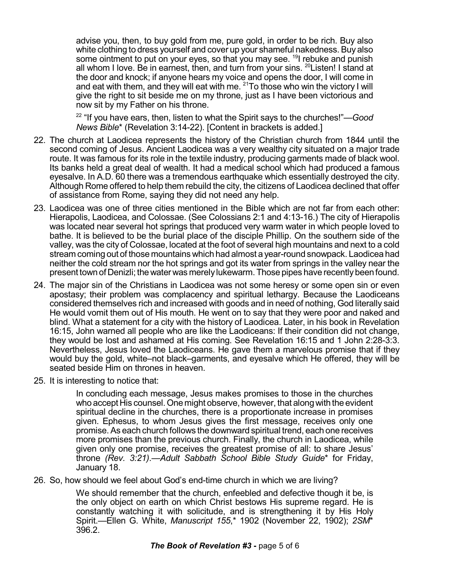advise you, then, to buy gold from me, pure gold, in order to be rich. Buy also white clothing to dress yourself and cover up your shameful nakedness. Buy also some ointment to put on your eyes, so that you may see. <sup>19</sup>I rebuke and punish all whom I love. Be in earnest, then, and turn from your sins. <sup>20</sup>Listen! I stand at the door and knock; if anyone hears my voice and opens the door, I will come in and eat with them, and they will eat with me. <sup>21</sup>To those who win the victory I will give the right to sit beside me on my throne, just as I have been victorious and now sit by my Father on his throne.

22 "If you have ears, then, listen to what the Spirit says to the churches!"—*Good News Bible*\* (Revelation 3:14-22). [Content in brackets is added.]

- 22. The church at Laodicea represents the history of the Christian church from 1844 until the second coming of Jesus. Ancient Laodicea was a very wealthy city situated on a major trade route. It was famous for its role in the textile industry, producing garments made of black wool. Its banks held a great deal of wealth. It had a medical school which had produced a famous eyesalve. In A.D. 60 there was a tremendous earthquake which essentially destroyed the city. Although Rome offered to help them rebuild the city, the citizens of Laodicea declined that offer of assistance from Rome, saying they did not need any help.
- 23. Laodicea was one of three cities mentioned in the Bible which are not far from each other: Hierapolis, Laodicea, and Colossae. (See Colossians 2:1 and 4:13-16.) The city of Hierapolis was located near several hot springs that produced very warm water in which people loved to bathe. It is believed to be the burial place of the disciple Phillip. On the southern side of the valley, was the city of Colossae, located at the foot of several high mountains and next to a cold stream coming out of those mountains which had almost a year-round snowpack. Laodicea had neither the cold stream nor the hot springs and got its water from springs in the valley near the present town of Denizli; the water was merely lukewarm. Those pipes have recently been found.
- 24. The major sin of the Christians in Laodicea was not some heresy or some open sin or even apostasy; their problem was complacency and spiritual lethargy. Because the Laodiceans considered themselves rich and increased with goods and in need of nothing, God literally said He would vomit them out of His mouth. He went on to say that they were poor and naked and blind. What a statement for a city with the history of Laodicea. Later, in his book in Revelation 16:15, John warned all people who are like the Laodiceans: If their condition did not change, they would be lost and ashamed at His coming. See Revelation 16:15 and 1 John 2:28-3:3. Nevertheless, Jesus loved the Laodiceans. He gave them a marvelous promise that if they would buy the gold, white–not black–garments, and eyesalve which He offered, they will be seated beside Him on thrones in heaven.
- 25. It is interesting to notice that:

In concluding each message, Jesus makes promises to those in the churches who accept His counsel. One might observe, however, that along with the evident spiritual decline in the churches, there is a proportionate increase in promises given. Ephesus, to whom Jesus gives the first message, receives only one promise.As each church follows the downward spiritual trend, each one receives more promises than the previous church. Finally, the church in Laodicea, while given only one promise, receives the greatest promise of all: to share Jesus' throne *(Rev. 3:21)*.—*Adult Sabbath School Bible Study Guide*\* for Friday, January 18.

26. So, how should we feel about God's end-time church in which we are living?

We should remember that the church, enfeebled and defective though it be, is the only object on earth on which Christ bestows His supreme regard. He is constantly watching it with solicitude, and is strengthening it by His Holy Spirit.—Ellen G. White, *Manuscript 155*,\* 1902 (November 22, 1902); *2SM*\* 396.2.